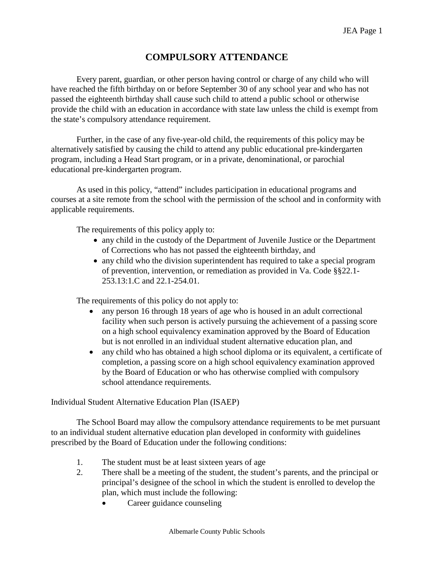## **COMPULSORY ATTENDANCE**

Every parent, guardian, or other person having control or charge of any child who will have reached the fifth birthday on or before September 30 of any school year and who has not passed the eighteenth birthday shall cause such child to attend a public school or otherwise provide the child with an education in accordance with state law unless the child is exempt from the state's compulsory attendance requirement.

Further, in the case of any five-year-old child, the requirements of this policy may be alternatively satisfied by causing the child to attend any public educational pre-kindergarten program, including a Head Start program, or in a private, denominational, or parochial educational pre-kindergarten program.

As used in this policy, "attend" includes participation in educational programs and courses at a site remote from the school with the permission of the school and in conformity with applicable requirements.

The requirements of this policy apply to:

- any child in the custody of the Department of Juvenile Justice or the Department of Corrections who has not passed the eighteenth birthday, and
- any child who the division superintendent has required to take a special program of prevention, intervention, or remediation as provided in Va. Code §§22.1- 253.13:1.C and 22.1-254.01.

The requirements of this policy do not apply to:

- any person 16 through 18 years of age who is housed in an adult correctional facility when such person is actively pursuing the achievement of a passing score on a high school equivalency examination approved by the Board of Education but is not enrolled in an individual student alternative education plan, and
- any child who has obtained a high school diploma or its equivalent, a certificate of completion, a passing score on a high school equivalency examination approved by the Board of Education or who has otherwise complied with compulsory school attendance requirements.

## Individual Student Alternative Education Plan (ISAEP)

The School Board may allow the compulsory attendance requirements to be met pursuant to an individual student alternative education plan developed in conformity with guidelines prescribed by the Board of Education under the following conditions:

- 1. The student must be at least sixteen years of age
- 2. There shall be a meeting of the student, the student's parents, and the principal or principal's designee of the school in which the student is enrolled to develop the plan, which must include the following:
	- Career guidance counseling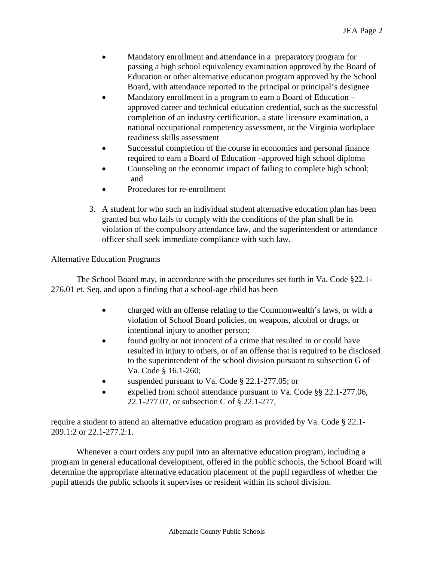- Mandatory enrollment and attendance in a preparatory program for passing a high school equivalency examination approved by the Board of Education or other alternative education program approved by the School Board, with attendance reported to the principal or principal's designee
- Mandatory enrollment in a program to earn a Board of Education approved career and technical education credential, such as the successful completion of an industry certification, a state licensure examination, a national occupational competency assessment, or the Virginia workplace readiness skills assessment
- Successful completion of the course in economics and personal finance required to earn a Board of Education –approved high school diploma
- Counseling on the economic impact of failing to complete high school; and
- Procedures for re-enrollment
- 3. A student for who such an individual student alternative education plan has been granted but who fails to comply with the conditions of the plan shall be in violation of the compulsory attendance law, and the superintendent or attendance officer shall seek immediate compliance with such law.

## Alternative Education Programs

The School Board may, in accordance with the procedures set forth in Va. Code §22.1- 276.01 et. Seq. and upon a finding that a school-age child has been

- charged with an offense relating to the Commonwealth's laws, or with a violation of School Board policies, on weapons, alcohol or drugs, or intentional injury to another person;
- found guilty or not innocent of a crime that resulted in or could have resulted in injury to others, or of an offense that is required to be disclosed to the superintendent of the school division pursuant to subsection G of Va. Code § 16.1-260;
- suspended pursuant to Va. Code § 22.1-277.05; or
- expelled from school attendance pursuant to Va. Code §§ 22.1-277.06, 22.1-277.07, or subsection C of § 22.1-277,

require a student to attend an alternative education program as provided by Va. Code § 22.1- 209.1:2 or 22.1-277.2:1.

Whenever a court orders any pupil into an alternative education program, including a program in general educational development, offered in the public schools, the School Board will determine the appropriate alternative education placement of the pupil regardless of whether the pupil attends the public schools it supervises or resident within its school division.